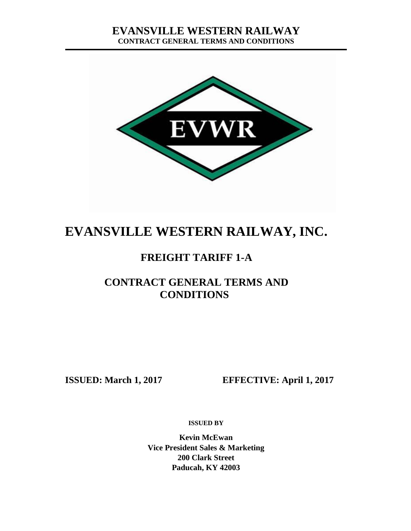

# **EVANSVILLE WESTERN RAILWAY, INC.**

# **FREIGHT TARIFF 1-A**

# **CONTRACT GENERAL TERMS AND CONDITIONS**

**ISSUED: March 1, 2017 EFFECTIVE: April 1, 2017**

**ISSUED BY**

**Kevin McEwan Vice President Sales & Marketing 200 Clark Street Paducah, KY 42003**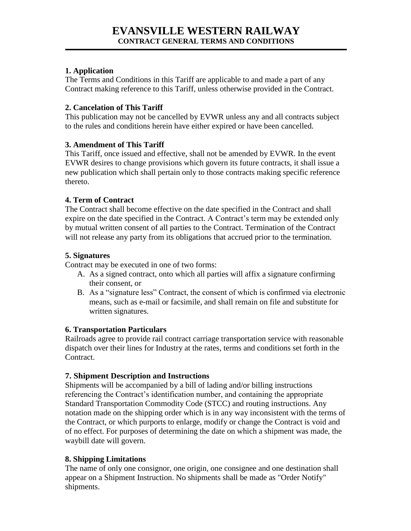### **1. Application**

The Terms and Conditions in this Tariff are applicable to and made a part of any Contract making reference to this Tariff, unless otherwise provided in the Contract.

#### **2. Cancelation of This Tariff**

This publication may not be cancelled by EVWR unless any and all contracts subject to the rules and conditions herein have either expired or have been cancelled.

# **3. Amendment of This Tariff**

This Tariff, once issued and effective, shall not be amended by EVWR. In the event EVWR desires to change provisions which govern its future contracts, it shall issue a new publication which shall pertain only to those contracts making specific reference thereto.

#### **4. Term of Contract**

The Contract shall become effective on the date specified in the Contract and shall expire on the date specified in the Contract. A Contract's term may be extended only by mutual written consent of all parties to the Contract. Termination of the Contract will not release any party from its obligations that accrued prior to the termination.

#### **5. Signatures**

Contract may be executed in one of two forms:

- A. As a signed contract, onto which all parties will affix a signature confirming their consent, or
- B. As a "signature less" Contract, the consent of which is confirmed via electronic means, such as e-mail or facsimile, and shall remain on file and substitute for written signatures.

# **6. Transportation Particulars**

Railroads agree to provide rail contract carriage transportation service with reasonable dispatch over their lines for Industry at the rates, terms and conditions set forth in the Contract.

# **7. Shipment Description and Instructions**

Shipments will be accompanied by a bill of lading and/or billing instructions referencing the Contract's identification number, and containing the appropriate Standard Transportation Commodity Code (STCC) and routing instructions. Any notation made on the shipping order which is in any way inconsistent with the terms of the Contract, or which purports to enlarge, modify or change the Contract is void and of no effect. For purposes of determining the date on which a shipment was made, the waybill date will govern.

# **8. Shipping Limitations**

The name of only one consignor, one origin, one consignee and one destination shall appear on a Shipment Instruction. No shipments shall be made as "Order Notify" shipments.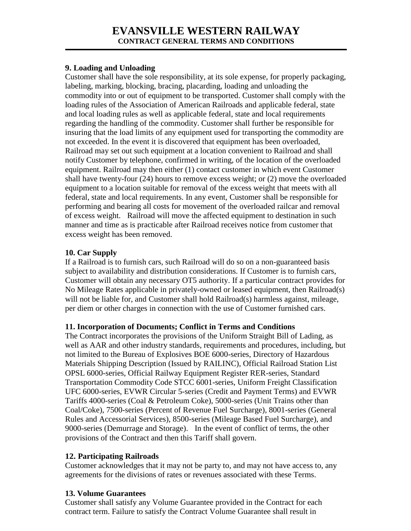# **EVANSVILLE WESTERN RAILWAY CONTRACT GENERAL TERMS AND CONDITIONS**

#### **9. Loading and Unloading**

Customer shall have the sole responsibility, at its sole expense, for properly packaging, labeling, marking, blocking, bracing, placarding, loading and unloading the commodity into or out of equipment to be transported. Customer shall comply with the loading rules of the Association of American Railroads and applicable federal, state and local loading rules as well as applicable federal, state and local requirements regarding the handling of the commodity. Customer shall further be responsible for insuring that the load limits of any equipment used for transporting the commodity are not exceeded. In the event it is discovered that equipment has been overloaded, Railroad may set out such equipment at a location convenient to Railroad and shall notify Customer by telephone, confirmed in writing, of the location of the overloaded equipment. Railroad may then either (1) contact customer in which event Customer shall have twenty-four (24) hours to remove excess weight; or (2) move the overloaded equipment to a location suitable for removal of the excess weight that meets with all federal, state and local requirements. In any event, Customer shall be responsible for performing and bearing all costs for movement of the overloaded railcar and removal of excess weight. Railroad will move the affected equipment to destination in such manner and time as is practicable after Railroad receives notice from customer that excess weight has been removed.

#### **10. Car Supply**

If a Railroad is to furnish cars, such Railroad will do so on a non-guaranteed basis subject to availability and distribution considerations. If Customer is to furnish cars, Customer will obtain any necessary OT5 authority. If a particular contract provides for No Mileage Rates applicable in privately-owned or leased equipment, then Railroad(s) will not be liable for, and Customer shall hold Railroad(s) harmless against, mileage, per diem or other charges in connection with the use of Customer furnished cars.

#### **11. Incorporation of Documents; Conflict in Terms and Conditions**

The Contract incorporates the provisions of the Uniform Straight Bill of Lading, as well as AAR and other industry standards, requirements and procedures, including, but not limited to the Bureau of Explosives BOE 6000-series, Directory of Hazardous Materials Shipping Description (Issued by RAILINC), Official Railroad Station List OPSL 6000-series, Official Railway Equipment Register RER-series, Standard Transportation Commodity Code STCC 6001-series, Uniform Freight Classification UFC 6000-series, EVWR Circular 5-series (Credit and Payment Terms) and EVWR Tariffs 4000-series (Coal & Petroleum Coke), 5000-series (Unit Trains other than Coal/Coke), 7500-series (Percent of Revenue Fuel Surcharge), 8001-series (General Rules and Accessorial Services), 8500-series (Mileage Based Fuel Surcharge), and 9000-series (Demurrage and Storage). In the event of conflict of terms, the other provisions of the Contract and then this Tariff shall govern.

#### **12. Participating Railroads**

Customer acknowledges that it may not be party to, and may not have access to, any agreements for the divisions of rates or revenues associated with these Terms.

#### **13. Volume Guarantees**

Customer shall satisfy any Volume Guarantee provided in the Contract for each contract term. Failure to satisfy the Contract Volume Guarantee shall result in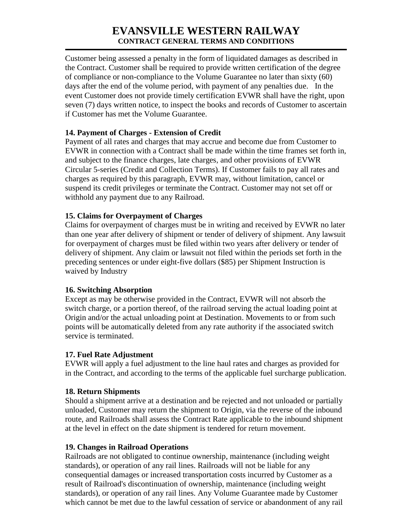# **EVANSVILLE WESTERN RAILWAY CONTRACT GENERAL TERMS AND CONDITIONS**

Customer being assessed a penalty in the form of liquidated damages as described in the Contract. Customer shall be required to provide written certification of the degree of compliance or non-compliance to the Volume Guarantee no later than sixty (60) days after the end of the volume period, with payment of any penalties due. In the event Customer does not provide timely certification EVWR shall have the right, upon seven (7) days written notice, to inspect the books and records of Customer to ascertain if Customer has met the Volume Guarantee.

#### **14. Payment of Charges - Extension of Credit**

Payment of all rates and charges that may accrue and become due from Customer to EVWR in connection with a Contract shall be made within the time frames set forth in, and subject to the finance charges, late charges, and other provisions of EVWR Circular 5-series (Credit and Collection Terms). If Customer fails to pay all rates and charges as required by this paragraph, EVWR may, without limitation, cancel or suspend its credit privileges or terminate the Contract. Customer may not set off or withhold any payment due to any Railroad.

#### **15. Claims for Overpayment of Charges**

Claims for overpayment of charges must be in writing and received by EVWR no later than one year after delivery of shipment or tender of delivery of shipment. Any lawsuit for overpayment of charges must be filed within two years after delivery or tender of delivery of shipment. Any claim or lawsuit not filed within the periods set forth in the preceding sentences or under eight-five dollars (\$85) per Shipment Instruction is waived by Industry

#### **16. Switching Absorption**

Except as may be otherwise provided in the Contract, EVWR will not absorb the switch charge, or a portion thereof, of the railroad serving the actual loading point at Origin and/or the actual unloading point at Destination. Movements to or from such points will be automatically deleted from any rate authority if the associated switch service is terminated.

#### **17. Fuel Rate Adjustment**

EVWR will apply a fuel adjustment to the line haul rates and charges as provided for in the Contract, and according to the terms of the applicable fuel surcharge publication.

#### **18. Return Shipments**

Should a shipment arrive at a destination and be rejected and not unloaded or partially unloaded, Customer may return the shipment to Origin, via the reverse of the inbound route, and Railroads shall assess the Contract Rate applicable to the inbound shipment at the level in effect on the date shipment is tendered for return movement.

# **19. Changes in Railroad Operations**

Railroads are not obligated to continue ownership, maintenance (including weight standards), or operation of any rail lines. Railroads will not be liable for any consequential damages or increased transportation costs incurred by Customer as a result of Railroad's discontinuation of ownership, maintenance (including weight standards), or operation of any rail lines. Any Volume Guarantee made by Customer which cannot be met due to the lawful cessation of service or abandonment of any rail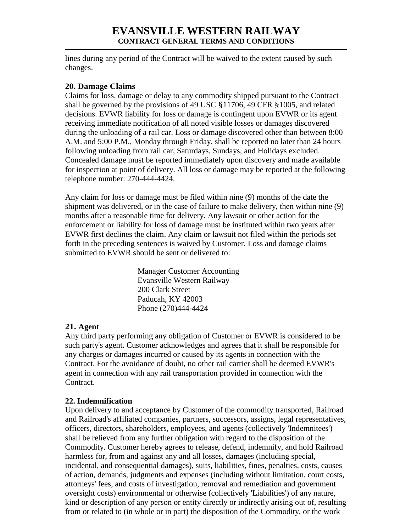# **EVANSVILLE WESTERN RAILWAY CONTRACT GENERAL TERMS AND CONDITIONS**

lines during any period of the Contract will be waived to the extent caused by such changes.

#### **20. Damage Claims**

Claims for loss, damage or delay to any commodity shipped pursuant to the Contract shall be governed by the provisions of 49 USC §11706, 49 CFR §1005, and related decisions. EVWR liability for loss or damage is contingent upon EVWR or its agent receiving immediate notification of all noted visible losses or damages discovered during the unloading of a rail car. Loss or damage discovered other than between 8:00 A.M. and 5:00 P.M., Monday through Friday, shall be reported no later than 24 hours following unloading from rail car, Saturdays, Sundays, and Holidays excluded. Concealed damage must be reported immediately upon discovery and made available for inspection at point of delivery. All loss or damage may be reported at the following telephone number: 270-444-4424.

Any claim for loss or damage must be filed within nine (9) months of the date the shipment was delivered, or in the case of failure to make delivery, then within nine (9) months after a reasonable time for delivery. Any lawsuit or other action for the enforcement or liability for loss of damage must be instituted within two years after EVWR first declines the claim. Any claim or lawsuit not filed within the periods set forth in the preceding sentences is waived by Customer. Loss and damage claims submitted to EVWR should be sent or delivered to:

> Manager Customer Accounting Evansville Western Railway 200 Clark Street Paducah, KY 42003 Phone (270)444-4424

#### **21. Agent**

Any third party performing any obligation of Customer or EVWR is considered to be such party's agent. Customer acknowledges and agrees that it shall be responsible for any charges or damages incurred or caused by its agents in connection with the Contract. For the avoidance of doubt, no other rail carrier shall be deemed EVWR's agent in connection with any rail transportation provided in connection with the Contract.

#### **22. Indemnification**

Upon delivery to and acceptance by Customer of the commodity transported, Railroad and Railroad's affiliated companies, partners, successors, assigns, legal representatives, officers, directors, shareholders, employees, and agents (collectively 'Indemnitees') shall be relieved from any further obligation with regard to the disposition of the Commodity. Customer hereby agrees to release, defend, indemnify, and hold Railroad harmless for, from and against any and all losses, damages (including special, incidental, and consequential damages), suits, liabilities, fines, penalties, costs, causes of action, demands, judgments and expenses (including without limitation, court costs, attorneys' fees, and costs of investigation, removal and remediation and government oversight costs) environmental or otherwise (collectively 'Liabilities') of any nature, kind or description of any person or entity directly or indirectly arising out of, resulting from or related to (in whole or in part) the disposition of the Commodity, or the work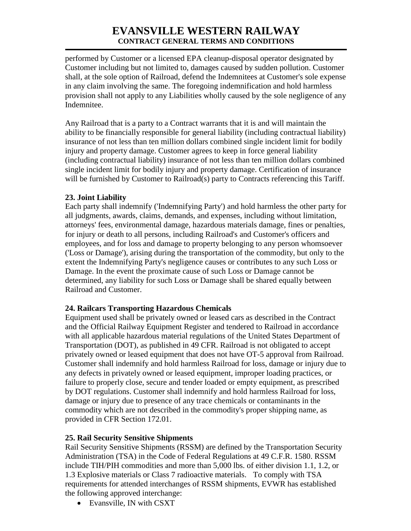performed by Customer or a licensed EPA cleanup-disposal operator designated by Customer including but not limited to, damages caused by sudden pollution. Customer shall, at the sole option of Railroad, defend the Indemnitees at Customer's sole expense in any claim involving the same. The foregoing indemnification and hold harmless provision shall not apply to any Liabilities wholly caused by the sole negligence of any Indemnitee.

Any Railroad that is a party to a Contract warrants that it is and will maintain the ability to be financially responsible for general liability (including contractual liability) insurance of not less than ten million dollars combined single incident limit for bodily injury and property damage. Customer agrees to keep in force general liability (including contractual liability) insurance of not less than ten million dollars combined single incident limit for bodily injury and property damage. Certification of insurance will be furnished by Customer to Railroad(s) party to Contracts referencing this Tariff.

# **23. Joint Liability**

Each party shall indemnify ('Indemnifying Party') and hold harmless the other party for all judgments, awards, claims, demands, and expenses, including without limitation, attorneys' fees, environmental damage, hazardous materials damage, fines or penalties, for injury or death to all persons, including Railroad's and Customer's officers and employees, and for loss and damage to property belonging to any person whomsoever ('Loss or Damage'), arising during the transportation of the commodity, but only to the extent the Indemnifying Party's negligence causes or contributes to any such Loss or Damage. In the event the proximate cause of such Loss or Damage cannot be determined, any liability for such Loss or Damage shall be shared equally between Railroad and Customer.

# **24. Railcars Transporting Hazardous Chemicals**

Equipment used shall be privately owned or leased cars as described in the Contract and the Official Railway Equipment Register and tendered to Railroad in accordance with all applicable hazardous material regulations of the United States Department of Transportation (DOT), as published in 49 CFR. Railroad is not obligated to accept privately owned or leased equipment that does not have OT-5 approval from Railroad. Customer shall indemnify and hold harmless Railroad for loss, damage or injury due to any defects in privately owned or leased equipment, improper loading practices, or failure to properly close, secure and tender loaded or empty equipment, as prescribed by DOT regulations. Customer shall indemnify and hold harmless Railroad for loss, damage or injury due to presence of any trace chemicals or contaminants in the commodity which are not described in the commodity's proper shipping name, as provided in CFR Section 172.01.

# **25. Rail Security Sensitive Shipments**

Rail Security Sensitive Shipments (RSSM) are defined by the Transportation Security Administration (TSA) in the Code of Federal Regulations at 49 C.F.R. 1580. RSSM include TIH/PIH commodities and more than 5,000 lbs. of either division 1.1, 1.2, or 1.3 Explosive materials or Class 7 radioactive materials. To comply with TSA requirements for attended interchanges of RSSM shipments, EVWR has established the following approved interchange:

• Evansville, IN with CSXT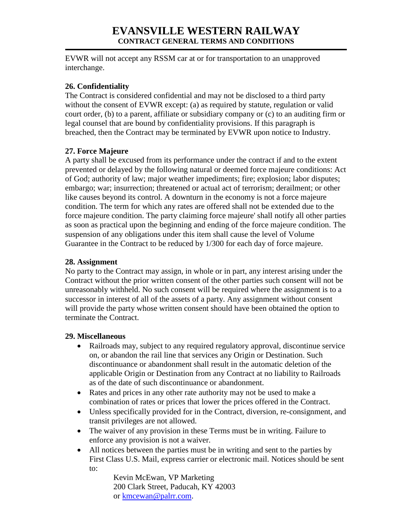EVWR will not accept any RSSM car at or for transportation to an unapproved interchange.

### **26. Confidentiality**

The Contract is considered confidential and may not be disclosed to a third party without the consent of EVWR except: (a) as required by statute, regulation or valid court order, (b) to a parent, affiliate or subsidiary company or (c) to an auditing firm or legal counsel that are bound by confidentiality provisions. If this paragraph is breached, then the Contract may be terminated by EVWR upon notice to Industry.

# **27. Force Majeure**

A party shall be excused from its performance under the contract if and to the extent prevented or delayed by the following natural or deemed force majeure conditions: Act of God; authority of law; major weather impediments; fire; explosion; labor disputes; embargo; war; insurrection; threatened or actual act of terrorism; derailment; or other like causes beyond its control. A downturn in the economy is not a force majeure condition. The term for which any rates are offered shall not be extended due to the force majeure condition. The party claiming force majeure' shall notify all other parties as soon as practical upon the beginning and ending of the force majeure condition. The suspension of any obligations under this item shall cause the level of Volume Guarantee in the Contract to be reduced by 1/300 for each day of force majeure.

#### **28. Assignment**

No party to the Contract may assign, in whole or in part, any interest arising under the Contract without the prior written consent of the other parties such consent will not be unreasonably withheld. No such consent will be required where the assignment is to a successor in interest of all of the assets of a party. Any assignment without consent will provide the party whose written consent should have been obtained the option to terminate the Contract.

#### **29. Miscellaneous**

- Railroads may, subject to any required regulatory approval, discontinue service on, or abandon the rail line that services any Origin or Destination. Such discontinuance or abandonment shall result in the automatic deletion of the applicable Origin or Destination from any Contract at no liability to Railroads as of the date of such discontinuance or abandonment.
- Rates and prices in any other rate authority may not be used to make a combination of rates or prices that lower the prices offered in the Contract.
- Unless specifically provided for in the Contract, diversion, re-consignment, and transit privileges are not allowed.
- The waiver of any provision in these Terms must be in writing. Failure to enforce any provision is not a waiver.
- All notices between the parties must be in writing and sent to the parties by First Class U.S. Mail, express carrier or electronic mail. Notices should be sent to:

Kevin McEwan, VP Marketing 200 Clark Street, Paducah, KY 42003 or [kmcewan@palrr.com.](mailto:kmcewan@palrr.com)